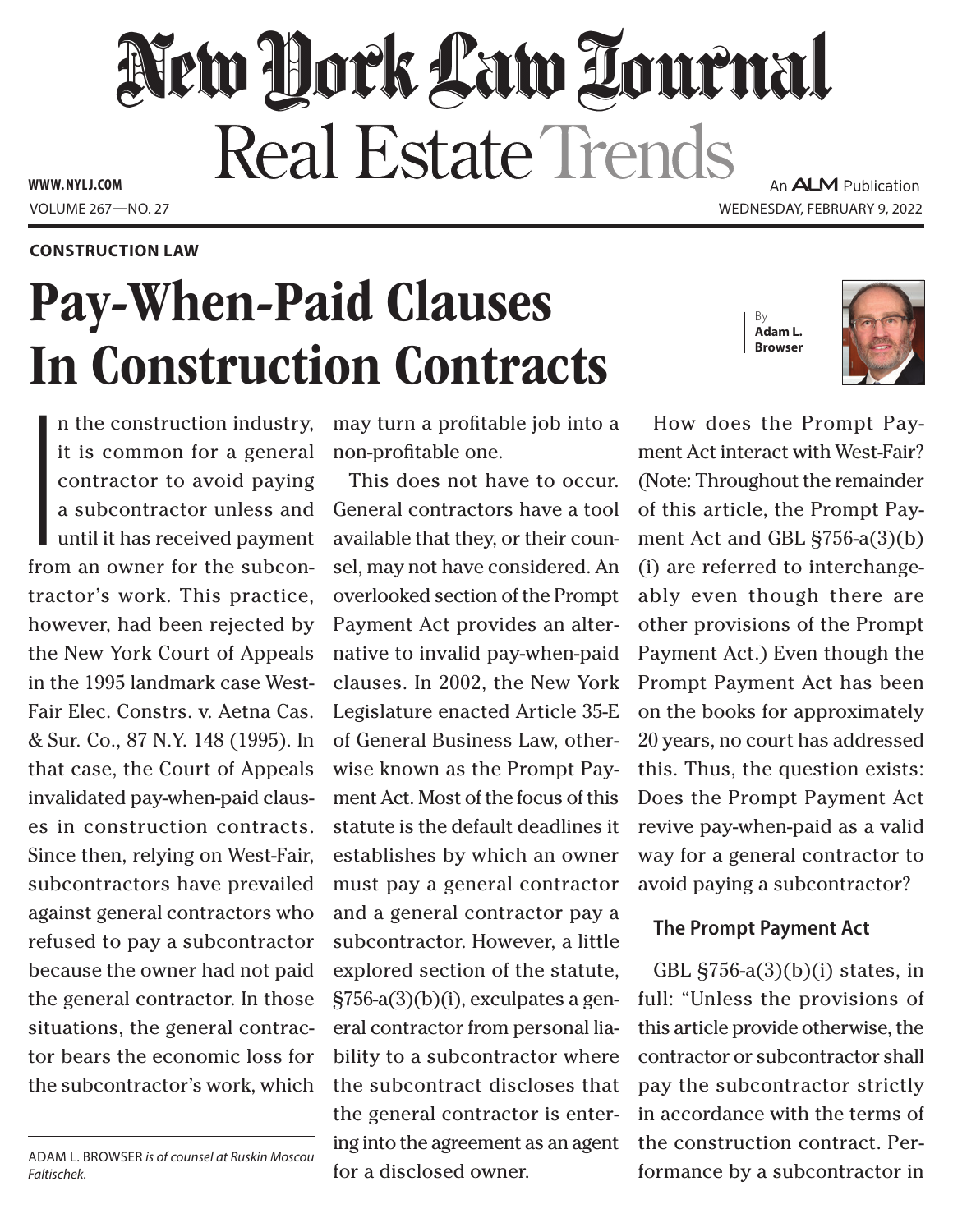## New Hork Law Lournal Real Estate Trends **WWW. NYLJ.COM** An **ALM** Publication

VOLUME 267—NO. 27 WEDNESDAY, FEBRUARY 9, 2022

**CONSTRUCTION LAW**

# Pay-When-Paid Clauses In Construction Contracts

|<br>|<br>|<br>|<br>|<br>| n the construction industry, it is common for a general contractor to avoid paying a subcontractor unless and until it has received payment from an owner for the subcontractor's work. This practice, however, had been rejected by the New York Court of Appeals in the 1995 landmark case West-Fair Elec. Constrs. v. Aetna Cas. & Sur. Co., 87 N.Y. 148 (1995). In that case, the Court of Appeals invalidated pay-when-paid clauses in construction contracts. Since then, relying on West-Fair, subcontractors have prevailed against general contractors who refused to pay a subcontractor because the owner had not paid the general contractor. In those situations, the general contractor bears the economic loss for the subcontractor's work, which

may turn a profitable job into a non-profitable one.

This does not have to occur. General contractors have a tool available that they, or their counsel, may not have considered. An overlooked section of the Prompt Payment Act provides an alternative to invalid pay-when-paid clauses. In 2002, the New York Legislature enacted Article 35-E of General Business Law, otherwise known as the Prompt Payment Act. Most of the focus of this statute is the default deadlines it establishes by which an owner must pay a general contractor and a general contractor pay a subcontractor. However, a little explored section of the statute, §756-a(3)(b)(i), exculpates a general contractor from personal liability to a subcontractor where the subcontract discloses that the general contractor is entering into the agreement as an agent for a disclosed owner.





How does the Prompt Payment Act interact with West-Fair? (Note: Throughout the remainder of this article, the Prompt Payment Act and GBL §756-a(3)(b) (i) are referred to interchangeably even though there are other provisions of the Prompt Payment Act.) Even though the Prompt Payment Act has been on the books for approximately 20 years, no court has addressed this. Thus, the question exists: Does the Prompt Payment Act revive pay-when-paid as a valid way for a general contractor to avoid paying a subcontractor?

#### **The Prompt Payment Act**

GBL  $\S756-a(3)(b)(i)$  states, in full: "Unless the provisions of this article provide otherwise, the contractor or subcontractor shall pay the subcontractor strictly in accordance with the terms of the construction contract. Performance by a subcontractor in

ADAM L. BROWSER *is of counsel at Ruskin Moscou Faltischek.*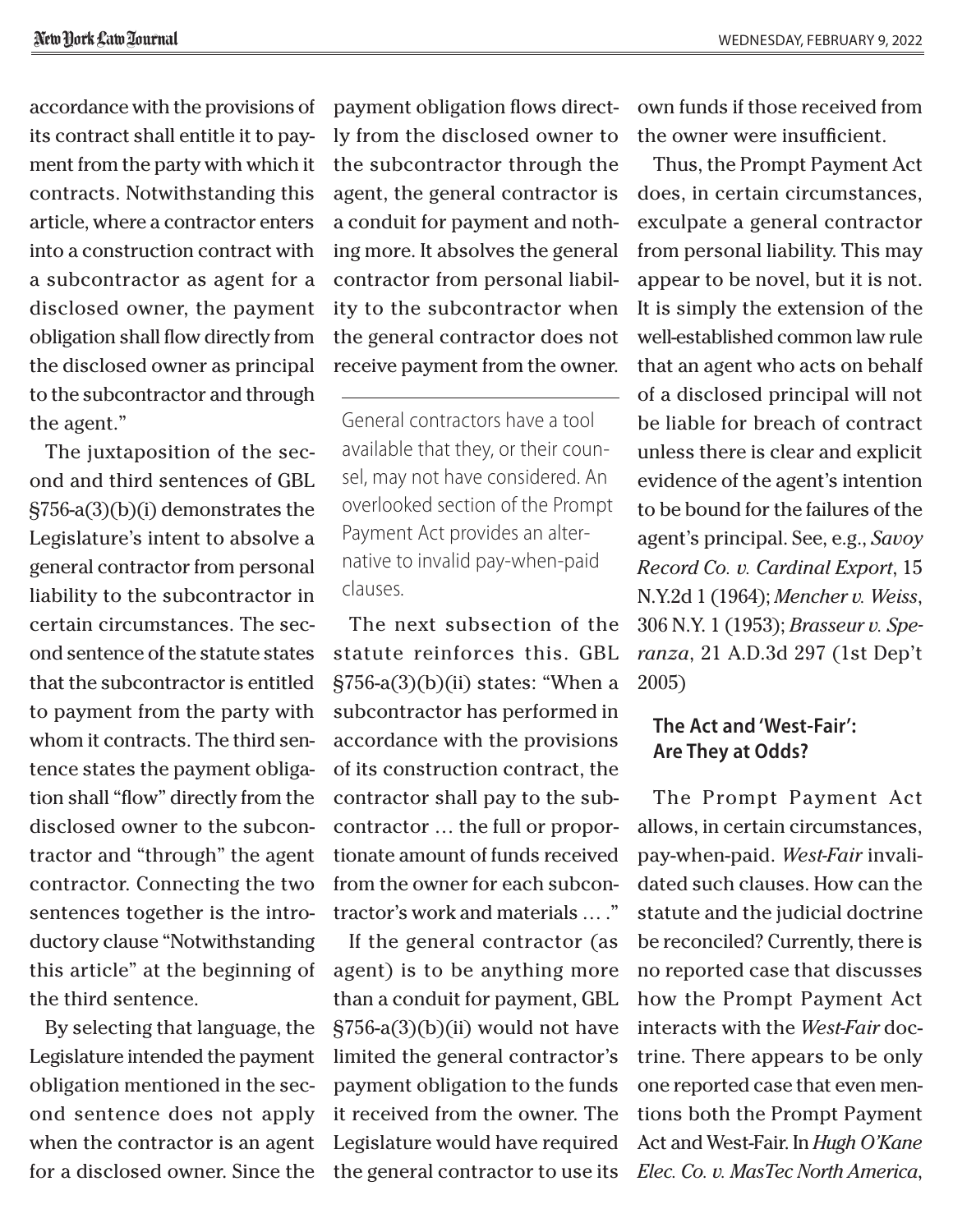accordance with the provisions of its contract shall entitle it to payment from the party with which it contracts. Notwithstanding this article, where a contractor enters into a construction contract with a subcontractor as agent for a disclosed owner, the payment obligation shall flow directly from the disclosed owner as principal to the subcontractor and through the agent."

The juxtaposition of the second and third sentences of GBL §756-a(3)(b)(i) demonstrates the Legislature's intent to absolve a general contractor from personal liability to the subcontractor in certain circumstances. The second sentence of the statute states that the subcontractor is entitled to payment from the party with whom it contracts. The third sentence states the payment obligation shall "flow" directly from the disclosed owner to the subcontractor and "through" the agent contractor. Connecting the two sentences together is the introductory clause "Notwithstanding this article" at the beginning of the third sentence.

By selecting that language, the Legislature intended the payment obligation mentioned in the second sentence does not apply when the contractor is an agent for a disclosed owner. Since the payment obligation flows directly from the disclosed owner to the subcontractor through the agent, the general contractor is a conduit for payment and nothing more. It absolves the general contractor from personal liability to the subcontractor when the general contractor does not receive payment from the owner.

General contractors have a tool available that they, or their counsel, may not have considered. An overlooked section of the Prompt Payment Act provides an alternative to invalid pay-when-paid clauses.

The next subsection of the statute reinforces this. GBL §756-a(3)(b)(ii) states: "When a subcontractor has performed in accordance with the provisions of its construction contract, the contractor shall pay to the subcontractor … the full or proportionate amount of funds received from the owner for each subcontractor's work and materials … ."

If the general contractor (as agent) is to be anything more than a conduit for payment, GBL  $\S 756$ -a $(3)(b)(ii)$  would not have limited the general contractor's payment obligation to the funds it received from the owner. The Legislature would have required the general contractor to use its own funds if those received from the owner were insufficient.

Thus, the Prompt Payment Act does, in certain circumstances, exculpate a general contractor from personal liability. This may appear to be novel, but it is not. It is simply the extension of the well-established common law rule that an agent who acts on behalf of a disclosed principal will not be liable for breach of contract unless there is clear and explicit evidence of the agent's intention to be bound for the failures of the agent's principal. See, e.g., *Savoy Record Co. v. Cardinal Export*, 15 N.Y.2d 1 (1964); *Mencher v. Weiss*, 306 N.Y. 1 (1953); *Brasseur v. Speranza*, 21 A.D.3d 297 (1st Dep't 2005)

### **The Act and 'West-Fair': Are They at Odds?**

The Prompt Payment Act allows, in certain circumstances, pay-when-paid. *West-Fair* invalidated such clauses. How can the statute and the judicial doctrine be reconciled? Currently, there is no reported case that discusses how the Prompt Payment Act interacts with the *West-Fair* doctrine. There appears to be only one reported case that even mentions both the Prompt Payment Act and West-Fair. In *Hugh O'Kane Elec. Co. v. MasTec North America*,